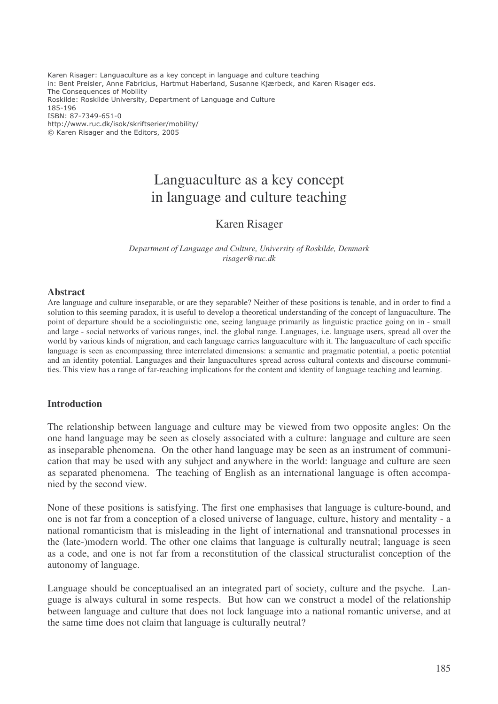Karen Risager: Languaculture as a key concept in language and culture teaching in: Bent Preisler, Anne Fabricius, Hartmut Haberland, Susanne Kjærbeck, and Karen Risager eds. The Consequences of Mobility Roskilde: Roskilde University, Department of Language and Culture 185-196 ISBN: 87-7349-651-0 http://www.ruc.dk/isok/skriftserier/mobility/ © Karen Risager and the Editors, 2005

# Languaculture as a key concept in language and culture teaching

## Karen Risager

*Department of Language and Culture, University of Roskilde, Denmark risager@ruc.dk*

#### **Abstract**

Are language and culture inseparable, or are they separable? Neither of these positions is tenable, and in order to find a solution to this seeming paradox, it is useful to develop a theoretical understanding of the concept of languaculture. The point of departure should be a sociolinguistic one, seeing language primarily as linguistic practice going on in - small and large - social networks of various ranges, incl. the global range. Languages, i.e. language users, spread all over the world by various kinds of migration, and each language carries languaculture with it. The languaculture of each specific language is seen as encompassing three interrelated dimensions: a semantic and pragmatic potential, a poetic potential and an identity potential. Languages and their languacultures spread across cultural contexts and discourse communities. This view has a range of far-reaching implications for the content and identity of language teaching and learning.

#### **Introduction**

The relationship between language and culture may be viewed from two opposite angles: On the one hand language may be seen as closely associated with a culture: language and culture are seen as inseparable phenomena. On the other hand language may be seen as an instrument of communication that may be used with any subject and anywhere in the world: language and culture are seen as separated phenomena. The teaching of English as an international language is often accompanied by the second view.

None of these positions is satisfying. The first one emphasises that language is culture-bound, and one is not far from a conception of a closed universe of language, culture, history and mentality - a national romanticism that is misleading in the light of international and transnational processes in the (late-)modern world. The other one claims that language is culturally neutral; language is seen as a code, and one is not far from a reconstitution of the classical structuralist conception of the autonomy of language.

Language should be conceptualised an an integrated part of society, culture and the psyche. Language is always cultural in some respects. But how can we construct a model of the relationship between language and culture that does not lock language into a national romantic universe, and at the same time does not claim that language is culturally neutral?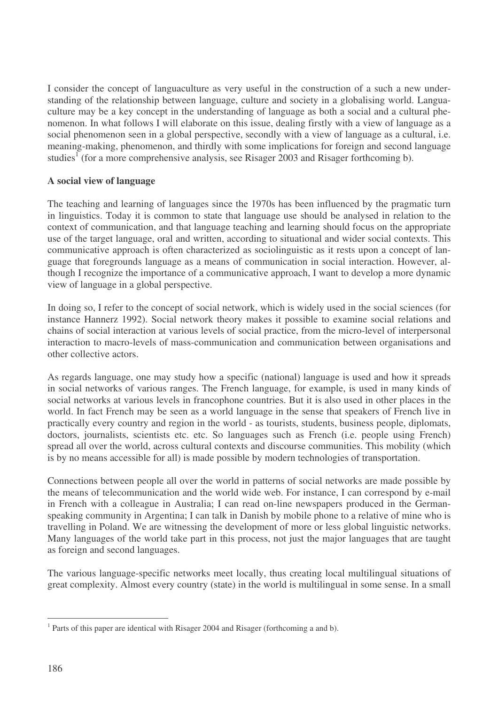I consider the concept of languaculture as very useful in the construction of a such a new understanding of the relationship between language, culture and society in a globalising world. Languaculture may be a key concept in the understanding of language as both a social and a cultural phenomenon. In what follows I will elaborate on this issue, dealing firstly with a view of language as a social phenomenon seen in a global perspective, secondly with a view of language as a cultural, i.e. meaning-making, phenomenon, and thirdly with some implications for foreign and second language studies<sup>1</sup> (for a more comprehensive analysis, see Risager 2003 and Risager forthcoming b).

## **A social view of language**

The teaching and learning of languages since the 1970s has been influenced by the pragmatic turn in linguistics. Today it is common to state that language use should be analysed in relation to the context of communication, and that language teaching and learning should focus on the appropriate use of the target language, oral and written, according to situational and wider social contexts. This communicative approach is often characterized as sociolinguistic as it rests upon a concept of language that foregrounds language as a means of communication in social interaction. However, although I recognize the importance of a communicative approach, I want to develop a more dynamic view of language in a global perspective.

In doing so, I refer to the concept of social network, which is widely used in the social sciences (for instance Hannerz 1992). Social network theory makes it possible to examine social relations and chains of social interaction at various levels of social practice, from the micro-level of interpersonal interaction to macro-levels of mass-communication and communication between organisations and other collective actors.

As regards language, one may study how a specific (national) language is used and how it spreads in social networks of various ranges. The French language, for example, is used in many kinds of social networks at various levels in francophone countries. But it is also used in other places in the world. In fact French may be seen as a world language in the sense that speakers of French live in practically every country and region in the world - as tourists, students, business people, diplomats, doctors, journalists, scientists etc. etc. So languages such as French (i.e. people using French) spread all over the world, across cultural contexts and discourse communities. This mobility (which is by no means accessible for all) is made possible by modern technologies of transportation.

Connections between people all over the world in patterns of social networks are made possible by the means of telecommunication and the world wide web. For instance, I can correspond by e-mail in French with a colleague in Australia; I can read on-line newspapers produced in the Germanspeaking community in Argentina; I can talk in Danish by mobile phone to a relative of mine who is travelling in Poland. We are witnessing the development of more or less global linguistic networks. Many languages of the world take part in this process, not just the major languages that are taught as foreign and second languages.

The various language-specific networks meet locally, thus creating local multilingual situations of great complexity. Almost every country (state) in the world is multilingual in some sense. In a small

<sup>&</sup>lt;sup>1</sup> Parts of this paper are identical with Risager 2004 and Risager (forthcoming a and b).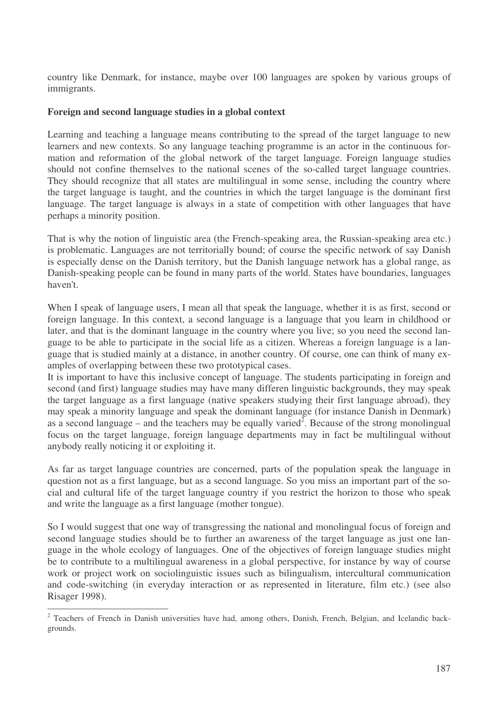country like Denmark, for instance, maybe over 100 languages are spoken by various groups of immigrants.

#### **Foreign and second language studies in a global context**

Learning and teaching a language means contributing to the spread of the target language to new learners and new contexts. So any language teaching programme is an actor in the continuous formation and reformation of the global network of the target language. Foreign language studies should not confine themselves to the national scenes of the so-called target language countries. They should recognize that all states are multilingual in some sense, including the country where the target language is taught, and the countries in which the target language is the dominant first language. The target language is always in a state of competition with other languages that have perhaps a minority position.

That is why the notion of linguistic area (the French-speaking area, the Russian-speaking area etc.) is problematic. Languages are not territorially bound; of course the specific network of say Danish is especially dense on the Danish territory, but the Danish language network has a global range, as Danish-speaking people can be found in many parts of the world. States have boundaries, languages haven't.

When I speak of language users, I mean all that speak the language, whether it is as first, second or foreign language. In this context, a second language is a language that you learn in childhood or later, and that is the dominant language in the country where you live; so you need the second language to be able to participate in the social life as a citizen. Whereas a foreign language is a language that is studied mainly at a distance, in another country. Of course, one can think of many examples of overlapping between these two prototypical cases.

It is important to have this inclusive concept of language. The students participating in foreign and second (and first) language studies may have many differen linguistic backgrounds, they may speak the target language as a first language (native speakers studying their first language abroad), they may speak a minority language and speak the dominant language (for instance Danish in Denmark) as a second language  $-$  and the teachers may be equally varied<sup>2</sup>. Because of the strong monolingual focus on the target language, foreign language departments may in fact be multilingual without anybody really noticing it or exploiting it.

As far as target language countries are concerned, parts of the population speak the language in question not as a first language, but as a second language. So you miss an important part of the social and cultural life of the target language country if you restrict the horizon to those who speak and write the language as a first language (mother tongue).

So I would suggest that one way of transgressing the national and monolingual focus of foreign and second language studies should be to further an awareness of the target language as just one language in the whole ecology of languages. One of the objectives of foreign language studies might be to contribute to a multilingual awareness in a global perspective, for instance by way of course work or project work on sociolinguistic issues such as bilingualism, intercultural communication and code-switching (in everyday interaction or as represented in literature, film etc.) (see also Risager 1998).

<sup>&</sup>lt;sup>2</sup> Teachers of French in Danish universities have had, among others, Danish, French, Belgian, and Icelandic backgrounds.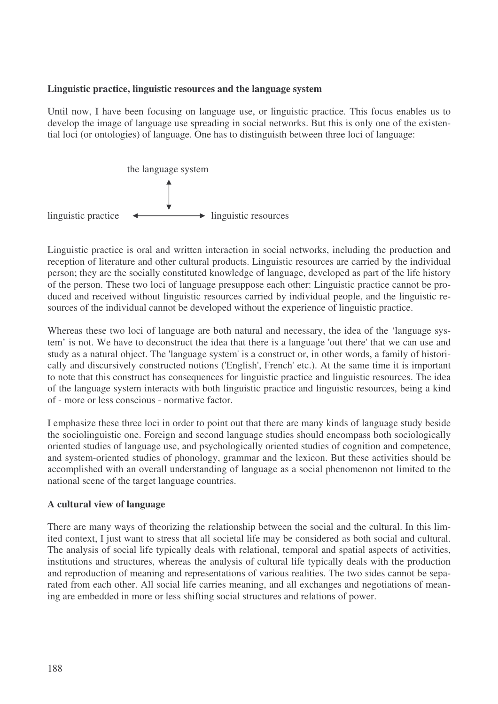#### **Linguistic practice, linguistic resources and the language system**

Until now, I have been focusing on language use, or linguistic practice. This focus enables us to develop the image of language use spreading in social networks. But this is only one of the existential loci (or ontologies) of language. One has to distinguisth between three loci of language:



Linguistic practice is oral and written interaction in social networks, including the production and reception of literature and other cultural products. Linguistic resources are carried by the individual person; they are the socially constituted knowledge of language, developed as part of the life history of the person. These two loci of language presuppose each other: Linguistic practice cannot be produced and received without linguistic resources carried by individual people, and the linguistic resources of the individual cannot be developed without the experience of linguistic practice.

Whereas these two loci of language are both natural and necessary, the idea of the 'language system' is not. We have to deconstruct the idea that there is a language 'out there' that we can use and study as a natural object. The 'language system' is a construct or, in other words, a family of historically and discursively constructed notions ('English', French' etc.). At the same time it is important to note that this construct has consequences for linguistic practice and linguistic resources. The idea of the language system interacts with both linguistic practice and linguistic resources, being a kind of - more or less conscious - normative factor.

I emphasize these three loci in order to point out that there are many kinds of language study beside the sociolinguistic one. Foreign and second language studies should encompass both sociologically oriented studies of language use, and psychologically oriented studies of cognition and competence, and system-oriented studies of phonology, grammar and the lexicon. But these activities should be accomplished with an overall understanding of language as a social phenomenon not limited to the national scene of the target language countries.

## **A cultural view of language**

There are many ways of theorizing the relationship between the social and the cultural. In this limited context, I just want to stress that all societal life may be considered as both social and cultural. The analysis of social life typically deals with relational, temporal and spatial aspects of activities, institutions and structures, whereas the analysis of cultural life typically deals with the production and reproduction of meaning and representations of various realities. The two sides cannot be separated from each other. All social life carries meaning, and all exchanges and negotiations of meaning are embedded in more or less shifting social structures and relations of power.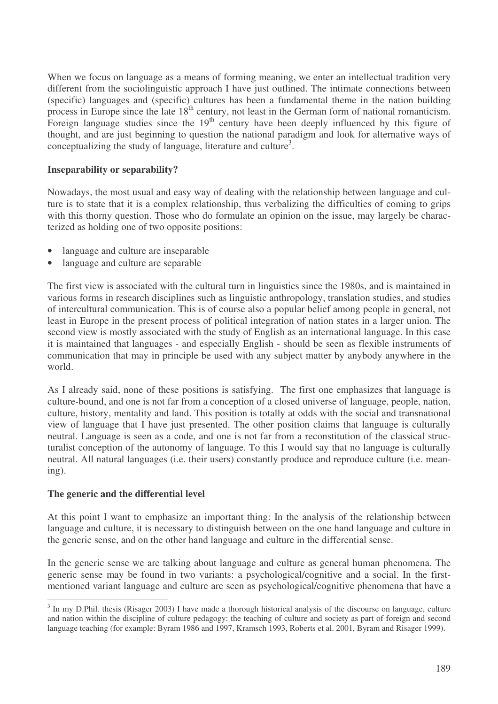When we focus on language as a means of forming meaning, we enter an intellectual tradition very different from the sociolinguistic approach I have just outlined. The intimate connections between (specific) languages and (specific) cultures has been a fundamental theme in the nation building process in Europe since the late 18<sup>th</sup> century, not least in the German form of national romanticism. Foreign language studies since the 19<sup>th</sup> century have been deeply influenced by this figure of thought, and are just beginning to question the national paradigm and look for alternative ways of conceptualizing the study of language, literature and culture 3 .

## **Inseparability or separability?**

Nowadays, the most usual and easy way of dealing with the relationship between language and culture is to state that it is a complex relationship, thus verbalizing the difficulties of coming to grips with this thorny question. Those who do formulate an opinion on the issue, may largely be characterized as holding one of two opposite positions:

- language and culture are inseparable
- language and culture are separable

The first view is associated with the cultural turn in linguistics since the 1980s, and is maintained in various forms in research disciplines such as linguistic anthropology, translation studies, and studies of intercultural communication. This is of course also a popular belief among people in general, not least in Europe in the present process of political integration of nation states in a larger union. The second view is mostly associated with the study of English as an international language. In this case it is maintained that languages - and especially English - should be seen as flexible instruments of communication that may in principle be used with any subject matter by anybody anywhere in the world.

As I already said, none of these positions is satisfying. The first one emphasizes that language is culture-bound, and one is not far from a conception of a closed universe of language, people, nation, culture, history, mentality and land. This position is totally at odds with the social and transnational view of language that I have just presented. The other position claims that language is culturally neutral. Language is seen as a code, and one is not far from a reconstitution of the classical structuralist conception of the autonomy of language. To this I would say that no language is culturally neutral. All natural languages (i.e. their users) constantly produce and reproduce culture (i.e. meaning).

## **The generic and the differential level**

At this point I want to emphasize an important thing: In the analysis of the relationship between language and culture, it is necessary to distinguish between on the one hand language and culture in the generic sense, and on the other hand language and culture in the differential sense.

In the generic sense we are talking about language and culture as general human phenomena. The generic sense may be found in two variants: a psychological/cognitive and a social. In the firstmentioned variant language and culture are seen as psychological/cognitive phenomena that have a

 $3$  In my D.Phil. thesis (Risager 2003) I have made a thorough historical analysis of the discourse on language, culture and nation within the discipline of culture pedagogy: the teaching of culture and society as part of foreign and second language teaching (for example: Byram 1986 and 1997, Kramsch 1993, Roberts et al. 2001, Byram and Risager 1999).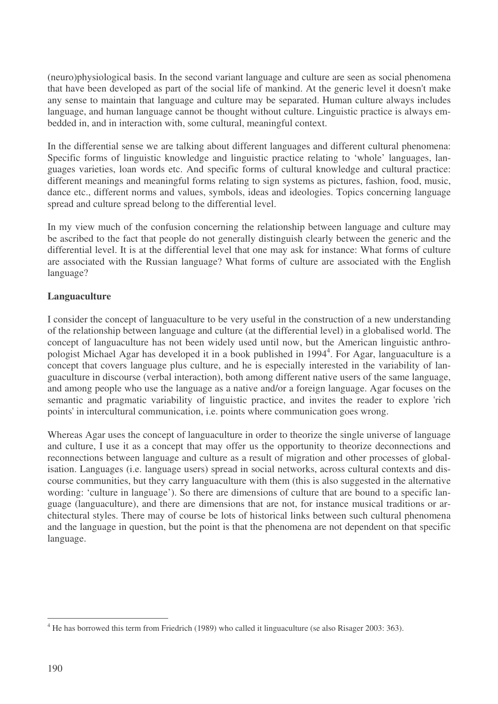(neuro)physiological basis. In the second variant language and culture are seen as social phenomena that have been developed as part of the social life of mankind. At the generic level it doesn't make any sense to maintain that language and culture may be separated. Human culture always includes language, and human language cannot be thought without culture. Linguistic practice is always embedded in, and in interaction with, some cultural, meaningful context.

In the differential sense we are talking about different languages and different cultural phenomena: Specific forms of linguistic knowledge and linguistic practice relating to 'whole' languages, languages varieties, loan words etc. And specific forms of cultural knowledge and cultural practice: different meanings and meaningful forms relating to sign systems as pictures, fashion, food, music, dance etc., different norms and values, symbols, ideas and ideologies. Topics concerning language spread and culture spread belong to the differential level.

In my view much of the confusion concerning the relationship between language and culture may be ascribed to the fact that people do not generally distinguish clearly between the generic and the differential level. It is at the differential level that one may ask for instance: What forms of culture are associated with the Russian language? What forms of culture are associated with the English language?

## **Languaculture**

I consider the concept of languaculture to be very useful in the construction of a new understanding of the relationship between language and culture (at the differential level) in a globalised world. The concept of languaculture has not been widely used until now, but the American linguistic anthropologist Michael Agar has developed it in a book published in 1994 4 . For Agar, languaculture is a concept that covers language plus culture, and he is especially interested in the variability of languaculture in discourse (verbal interaction), both among different native users of the same language, and among people who use the language as a native and/or a foreign language. Agar focuses on the semantic and pragmatic variability of linguistic practice, and invites the reader to explore 'rich points' in intercultural communication, i.e. points where communication goes wrong.

Whereas Agar uses the concept of languaculture in order to theorize the single universe of language and culture, I use it as a concept that may offer us the opportunity to theorize deconnections and reconnections between language and culture as a result of migration and other processes of globalisation. Languages (i.e. language users) spread in social networks, across cultural contexts and discourse communities, but they carry languaculture with them (this is also suggested in the alternative wording: 'culture in language'). So there are dimensions of culture that are bound to a specific language (languaculture), and there are dimensions that are not, for instance musical traditions or architectural styles. There may of course be lots of historical links between such cultural phenomena and the language in question, but the point is that the phenomena are not dependent on that specific language.

<sup>&</sup>lt;sup>4</sup> He has borrowed this term from Friedrich (1989) who called it linguaculture (se also Risager 2003: 363).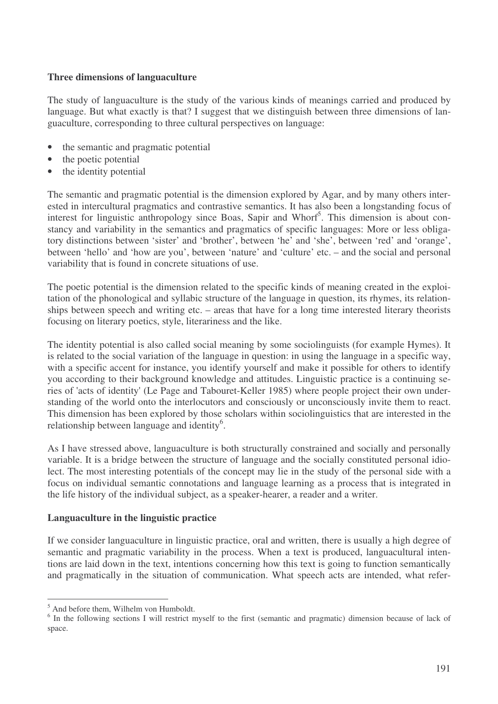#### **Three dimensions of languaculture**

The study of languaculture is the study of the various kinds of meanings carried and produced by language. But what exactly is that? I suggest that we distinguish between three dimensions of languaculture, corresponding to three cultural perspectives on language:

- the semantic and pragmatic potential
- the poetic potential
- the identity potential

The semantic and pragmatic potential is the dimension explored by Agar, and by many others interested in intercultural pragmatics and contrastive semantics. It has also been a longstanding focus of interest for linguistic anthropology since Boas, Sapir and Whorf<sup>5</sup>. This dimension is about constancy and variability in the semantics and pragmatics of specific languages: More or less obligatory distinctions between 'sister' and 'brother', between 'he' and 'she', between 'red' and 'orange', between 'hello' and 'how are you', between 'nature' and 'culture' etc. – and the social and personal variability that is found in concrete situations of use.

The poetic potential is the dimension related to the specific kinds of meaning created in the exploitation of the phonological and syllabic structure of the language in question, its rhymes, its relationships between speech and writing etc. – areas that have for a long time interested literary theorists focusing on literary poetics, style, literariness and the like.

The identity potential is also called social meaning by some sociolinguists (for example Hymes). It is related to the social variation of the language in question: in using the language in a specific way, with a specific accent for instance, you identify yourself and make it possible for others to identify you according to their background knowledge and attitudes. Linguistic practice is a continuing series of 'acts of identity' (Le Page and Tabouret-Keller 1985) where people project their own understanding of the world onto the interlocutors and consciously or unconsciously invite them to react. This dimension has been explored by those scholars within sociolinguistics that are interested in the relationship between language and identity<sup>6</sup>.

As I have stressed above, languaculture is both structurally constrained and socially and personally variable. It is a bridge between the structure of language and the socially constituted personal idiolect. The most interesting potentials of the concept may lie in the study of the personal side with a focus on individual semantic connotations and language learning as a process that is integrated in the life history of the individual subject, as a speaker-hearer, a reader and a writer.

#### **Languaculture in the linguistic practice**

If we consider languaculture in linguistic practice, oral and written, there is usually a high degree of semantic and pragmatic variability in the process. When a text is produced, languacultural intentions are laid down in the text, intentions concerning how this text is going to function semantically and pragmatically in the situation of communication. What speech acts are intended, what refer-

<sup>5</sup> And before them, Wilhelm von Humboldt.

<sup>&</sup>lt;sup>6</sup> In the following sections I will restrict myself to the first (semantic and pragmatic) dimension because of lack of space.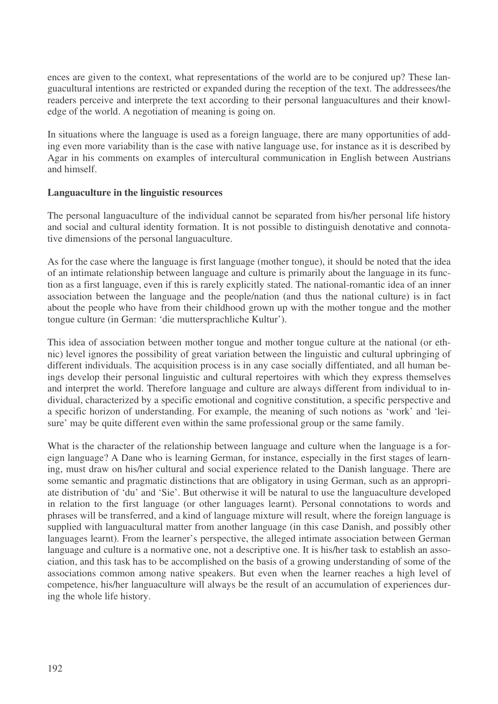ences are given to the context, what representations of the world are to be conjured up? These languacultural intentions are restricted or expanded during the reception of the text. The addressees/the readers perceive and interprete the text according to their personal languacultures and their knowledge of the world. A negotiation of meaning is going on.

In situations where the language is used as a foreign language, there are many opportunities of adding even more variability than is the case with native language use, for instance as it is described by Agar in his comments on examples of intercultural communication in English between Austrians and himself.

## **Languaculture in the linguistic resources**

The personal languaculture of the individual cannot be separated from his/her personal life history and social and cultural identity formation. It is not possible to distinguish denotative and connotative dimensions of the personal languaculture.

As for the case where the language is first language (mother tongue), it should be noted that the idea of an intimate relationship between language and culture is primarily about the language in its function as a first language, even if this is rarely explicitly stated. The national-romantic idea of an inner association between the language and the people/nation (and thus the national culture) is in fact about the people who have from their childhood grown up with the mother tongue and the mother tongue culture (in German: 'die muttersprachliche Kultur').

This idea of association between mother tongue and mother tongue culture at the national (or ethnic) level ignores the possibility of great variation between the linguistic and cultural upbringing of different individuals. The acquisition process is in any case socially diffentiated, and all human beings develop their personal linguistic and cultural repertoires with which they express themselves and interpret the world. Therefore language and culture are always different from individual to individual, characterized by a specific emotional and cognitive constitution, a specific perspective and a specific horizon of understanding. For example, the meaning of such notions as 'work' and 'leisure' may be quite different even within the same professional group or the same family.

What is the character of the relationship between language and culture when the language is a foreign language? A Dane who is learning German, for instance, especially in the first stages of learning, must draw on his/her cultural and social experience related to the Danish language. There are some semantic and pragmatic distinctions that are obligatory in using German, such as an appropriate distribution of 'du' and 'Sie'. But otherwise it will be natural to use the languaculture developed in relation to the first language (or other languages learnt). Personal connotations to words and phrases will be transferred, and a kind of language mixture will result, where the foreign language is supplied with languacultural matter from another language (in this case Danish, and possibly other languages learnt). From the learner's perspective, the alleged intimate association between German language and culture is a normative one, not a descriptive one. It is his/her task to establish an association, and this task has to be accomplished on the basis of a growing understanding of some of the associations common among native speakers. But even when the learner reaches a high level of competence, his/her languaculture will always be the result of an accumulation of experiences during the whole life history.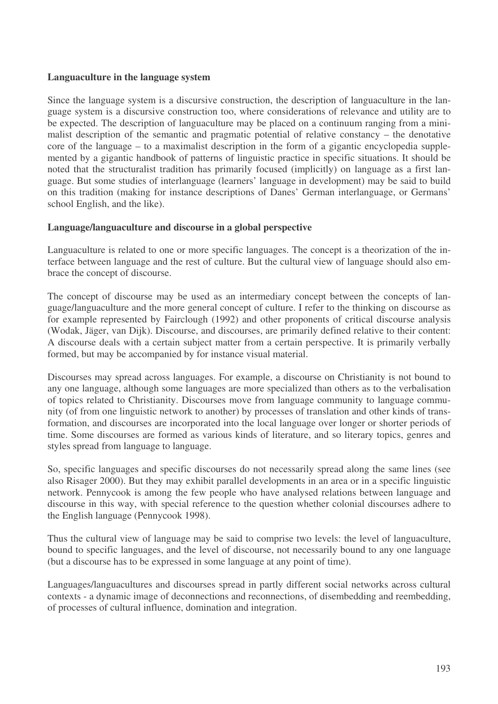#### **Languaculture in the language system**

Since the language system is a discursive construction, the description of languaculture in the language system is a discursive construction too, where considerations of relevance and utility are to be expected. The description of languaculture may be placed on a continuum ranging from a minimalist description of the semantic and pragmatic potential of relative constancy – the denotative core of the language – to a maximalist description in the form of a gigantic encyclopedia supplemented by a gigantic handbook of patterns of linguistic practice in specific situations. It should be noted that the structuralist tradition has primarily focused (implicitly) on language as a first language. But some studies of interlanguage (learners' language in development) may be said to build on this tradition (making for instance descriptions of Danes' German interlanguage, or Germans' school English, and the like).

#### **Language/languaculture and discourse in a global perspective**

Languaculture is related to one or more specific languages. The concept is a theorization of the interface between language and the rest of culture. But the cultural view of language should also embrace the concept of discourse.

The concept of discourse may be used as an intermediary concept between the concepts of language/languaculture and the more general concept of culture. I refer to the thinking on discourse as for example represented by Fairclough (1992) and other proponents of critical discourse analysis (Wodak, Jäger, van Dijk). Discourse, and discourses, are primarily defined relative to their content: A discourse deals with a certain subject matter from a certain perspective. It is primarily verbally formed, but may be accompanied by for instance visual material.

Discourses may spread across languages. For example, a discourse on Christianity is not bound to any one language, although some languages are more specialized than others as to the verbalisation of topics related to Christianity. Discourses move from language community to language community (of from one linguistic network to another) by processes of translation and other kinds of transformation, and discourses are incorporated into the local language over longer or shorter periods of time. Some discourses are formed as various kinds of literature, and so literary topics, genres and styles spread from language to language.

So, specific languages and specific discourses do not necessarily spread along the same lines (see also Risager 2000). But they may exhibit parallel developments in an area or in a specific linguistic network. Pennycook is among the few people who have analysed relations between language and discourse in this way, with special reference to the question whether colonial discourses adhere to the English language (Pennycook 1998).

Thus the cultural view of language may be said to comprise two levels: the level of languaculture, bound to specific languages, and the level of discourse, not necessarily bound to any one language (but a discourse has to be expressed in some language at any point of time).

Languages/languacultures and discourses spread in partly different social networks across cultural contexts - a dynamic image of deconnections and reconnections, of disembedding and reembedding, of processes of cultural influence, domination and integration.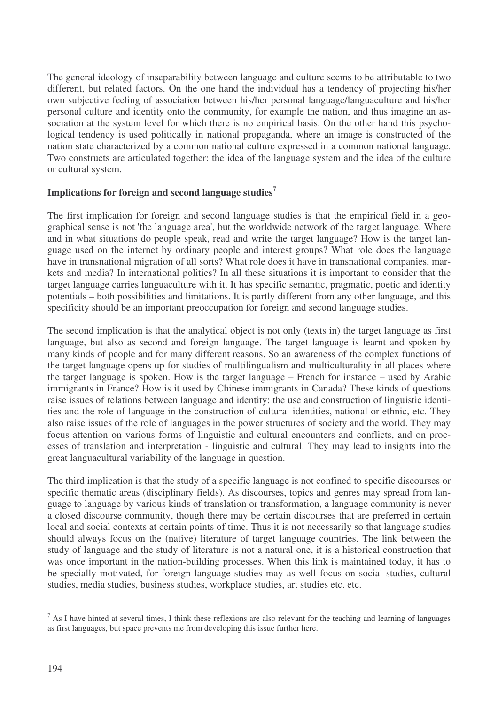The general ideology of inseparability between language and culture seems to be attributable to two different, but related factors. On the one hand the individual has a tendency of projecting his/her own subjective feeling of association between his/her personal language/languaculture and his/her personal culture and identity onto the community, for example the nation, and thus imagine an association at the system level for which there is no empirical basis. On the other hand this psychological tendency is used politically in national propaganda, where an image is constructed of the nation state characterized by a common national culture expressed in a common national language. Two constructs are articulated together: the idea of the language system and the idea of the culture or cultural system.

# **Implications for foreign and second language studies 7**

The first implication for foreign and second language studies is that the empirical field in a geographical sense is not 'the language area', but the worldwide network of the target language. Where and in what situations do people speak, read and write the target language? How is the target language used on the internet by ordinary people and interest groups? What role does the language have in transnational migration of all sorts? What role does it have in transnational companies, markets and media? In international politics? In all these situations it is important to consider that the target language carries languaculture with it. It has specific semantic, pragmatic, poetic and identity potentials – both possibilities and limitations. It is partly different from any other language, and this specificity should be an important preoccupation for foreign and second language studies.

The second implication is that the analytical object is not only (texts in) the target language as first language, but also as second and foreign language. The target language is learnt and spoken by many kinds of people and for many different reasons. So an awareness of the complex functions of the target language opens up for studies of multilingualism and multiculturality in all places where the target language is spoken. How is the target language – French for instance – used by Arabic immigrants in France? How is it used by Chinese immigrants in Canada? These kinds of questions raise issues of relations between language and identity: the use and construction of linguistic identities and the role of language in the construction of cultural identities, national or ethnic, etc. They also raise issues of the role of languages in the power structures of society and the world. They may focus attention on various forms of linguistic and cultural encounters and conflicts, and on processes of translation and interpretation - linguistic and cultural. They may lead to insights into the great languacultural variability of the language in question.

The third implication is that the study of a specific language is not confined to specific discourses or specific thematic areas (disciplinary fields). As discourses, topics and genres may spread from language to language by various kinds of translation or transformation, a language community is never a closed discourse community, though there may be certain discourses that are preferred in certain local and social contexts at certain points of time. Thus it is not necessarily so that language studies should always focus on the (native) literature of target language countries. The link between the study of language and the study of literature is not a natural one, it is a historical construction that was once important in the nation-building processes. When this link is maintained today, it has to be specially motivated, for foreign language studies may as well focus on social studies, cultural studies, media studies, business studies, workplace studies, art studies etc. etc.

 $^7$  As I have hinted at several times, I think these reflexions are also relevant for the teaching and learning of languages as first languages, but space prevents me from developing this issue further here.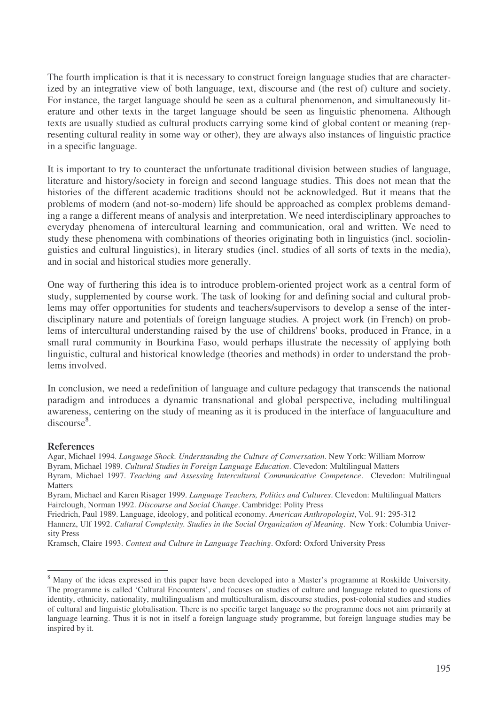The fourth implication is that it is necessary to construct foreign language studies that are characterized by an integrative view of both language, text, discourse and (the rest of) culture and society. For instance, the target language should be seen as a cultural phenomenon, and simultaneously literature and other texts in the target language should be seen as linguistic phenomena. Although texts are usually studied as cultural products carrying some kind of global content or meaning (representing cultural reality in some way or other), they are always also instances of linguistic practice in a specific language.

It is important to try to counteract the unfortunate traditional division between studies of language, literature and history/society in foreign and second language studies. This does not mean that the histories of the different academic traditions should not be acknowledged. But it means that the problems of modern (and not-so-modern) life should be approached as complex problems demanding a range a different means of analysis and interpretation. We need interdisciplinary approaches to everyday phenomena of intercultural learning and communication, oral and written. We need to study these phenomena with combinations of theories originating both in linguistics (incl. sociolinguistics and cultural linguistics), in literary studies (incl. studies of all sorts of texts in the media), and in social and historical studies more generally.

One way of furthering this idea is to introduce problem-oriented project work as a central form of study, supplemented by course work. The task of looking for and defining social and cultural problems may offer opportunities for students and teachers/supervisors to develop a sense of the interdisciplinary nature and potentials of foreign language studies. A project work (in French) on problems of intercultural understanding raised by the use of childrens' books, produced in France, in a small rural community in Bourkina Faso, would perhaps illustrate the necessity of applying both linguistic, cultural and historical knowledge (theories and methods) in order to understand the problems involved.

In conclusion, we need a redefinition of language and culture pedagogy that transcends the national paradigm and introduces a dynamic transnational and global perspective, including multilingual awareness, centering on the study of meaning as it is produced in the interface of languaculture and discourse<sup>8</sup>.

#### **References**

Agar, Michael 1994. *Language Shock. Understanding the Culture of Conversation*. New York: William Morrow Byram, Michael 1989. *Cultural Studies in Foreign Language Education*. Clevedon: Multilingual Matters Byram, Michael 1997. *Teaching and Assessing Intercultural Communicative Competence*. Clevedon: Multilingual **Matters** 

Byram, Michael and Karen Risager 1999. *Language Teachers, Politics and Cultures*. Clevedon: Multilingual Matters Fairclough, Norman 1992. *Discourse and Social Change*. Cambridge: Polity Press

Friedrich, Paul 1989. Language, ideology, and political economy. *American Anthropologist*, Vol. 91: 295-312

Hannerz, Ulf 1992. *Cultural Complexity. Studies in the Social Organization of Meaning*. New York: Columbia University Press

Kramsch, Claire 1993. *Context and Culture in Language Teaching*. Oxford: Oxford University Press

<sup>&</sup>lt;sup>8</sup> Many of the ideas expressed in this paper have been developed into a Master's programme at Roskilde University. The programme is called 'Cultural Encounters', and focuses on studies of culture and language related to questions of identity, ethnicity, nationality, multilingualism and multiculturalism, discourse studies, post-colonial studies and studies of cultural and linguistic globalisation. There is no specific target language so the programme does not aim primarily at language learning. Thus it is not in itself a foreign language study programme, but foreign language studies may be inspired by it.